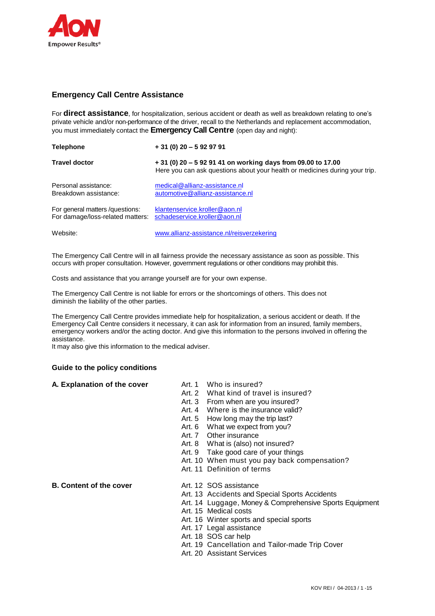

# **Emergency Call Centre Assistance**

For **direct assistance**, for hospitalization, serious accident or death as well as breakdown relating to one's private vehicle and/or non-performance of the driver, recall to the Netherlands and replacement accommodation, you must immediately contact the **Emergency Call Centre** (open day and night):

| <b>Telephone</b>                                                                                  | $+31(0)$ 20 - 5 92 97 91                                                                                                                    |
|---------------------------------------------------------------------------------------------------|---------------------------------------------------------------------------------------------------------------------------------------------|
| <b>Travel doctor</b>                                                                              | + 31 (0) 20 - 5 92 91 41 on working days from 09.00 to 17.00<br>Here you can ask questions about your health or medicines during your trip. |
| Personal assistance:<br>Breakdown assistance:                                                     | medical@allianz-assistance.nl<br>automotive@allianz-assistance.nl                                                                           |
| For general matters / questions:<br>For damage/loss-related matters: schadeservice.kroller@aon.nl | klantenservice.kroller@aon.nl                                                                                                               |
| Website:                                                                                          | www.allianz-assistance.nl/reisverzekering                                                                                                   |

The Emergency Call Centre will in all fairness provide the necessary assistance as soon as possible. This occurs with proper consultation. However, government regulations or other conditions may prohibit this.

Costs and assistance that you arrange yourself are for your own expense.

The Emergency Call Centre is not liable for errors or the shortcomings of others. This does not diminish the liability of the other parties.

The Emergency Call Centre provides immediate help for hospitalization, a serious accident or death. If the Emergency Call Centre considers it necessary, it can ask for information from an insured, family members, emergency workers and/or the acting doctor. And give this information to the persons involved in offering the assistance.

It may also give this information to the medical adviser.

#### **Guide to the policy conditions**

## **A. Explanation of the cover** Art. 1 Who is insured?

- 
- Art. 2 What kind of travel is insured?
- Art. 3 From when are you insured?
- Art. 4 Where is the insurance valid?
- Art. 5 How long may the trip last?
- Art. 6 What we expect from you?
- Art. 7 Other insurance
- Art. 8 What is (also) not insured?
- Art. 9 Take good care of your things
- Art. 10 When must you pay back compensation?
- Art. 11 Definition of terms

## **B.** Content of the cover **Art. 12 SOS** assistance

- 
- Art. 13 Accidents and Special Sports Accidents
- Art. 14 Luggage, Money & Comprehensive Sports Equipment
- Art. 15 Medical costs
- Art. 16 Winter sports and special sports
- Art. 17 Legal assistance
- Art. 18 SOS car help
- Art. 19 Cancellation and Tailor-made Trip Cover
- Art. 20 Assistant Services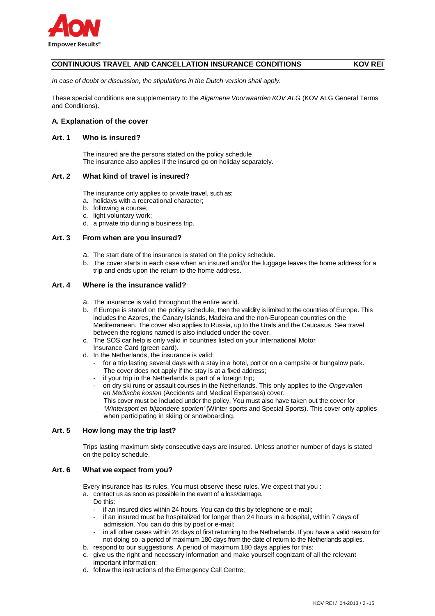

## **CONTINUOUS TRAVEL AND CANCELLATION INSURANCE CONDITIONS KOV REI**

*In case of doubt or discussion, the stipulations in the Dutch version shall apply.*

These special conditions are supplementary to the *Algemene Voorwaarden KOV ALG* (KOV ALG General Terms and Conditions).

## **A. Explanation of the cover**

## **Art. 1 Who is insured?**

The insured are the persons stated on the policy schedule. The insurance also applies if the insured go on holiday separately.

### **Art. 2 What kind of travel is insured?**

The insurance only applies to private travel, such as:

- a. holidays with a recreational character;
- b. following a course;
- c. light voluntary work;
- d. a private trip during a business trip.

### **Art. 3 From when are you insured?**

- a. The start date of the insurance is stated on the policy schedule.
- b. The cover starts in each case when an insured and/or the luggage leaves the home address for a trip and ends upon the return to the home address.

#### **Art. 4 Where is the insurance valid?**

- a. The insurance is valid throughout the entire world.
- b. If Europe is stated on the policy schedule, then the validity is limited to the countries of Europe. This includes the Azores, the Canary Islands, Madeira and the non-European countries on the Mediterranean. The cover also applies to Russia, up to the Urals and the Caucasus. Sea travel between the regions named is also included under the cover.
- c. The SOS car help is only valid in countries listed on your International Motor Insurance Card (green card).
- d. In the Netherlands, the insurance is valid:
	- for a trip lasting several days with a stay in a hotel, port or on a campsite or bungalow park. The cover does not apply if the stay is at a fixed address;
	- if your trip in the Netherlands is part of a foreign trip;
	- on dry ski runs or assault courses in the Netherlands. This only applies to the *Ongevallen en Medische kosten* (Accidents and Medical Expenses) cover. This cover must be included under the policy. You must also have taken out the cover for *'Wintersport en bijzondere sporten'* (Winter sports and Special Sports). This cover only applies when participating in skiing or snowboarding.

#### **Art. 5 How long may the trip last?**

Trips lasting maximum sixty consecutive days are insured. Unless another number of days is stated on the policy schedule.

#### **Art. 6 What we expect from you?**

Every insurance has its rules. You must observe these rules. We expect that you :

- a. contact us as soon as possible in the event of a loss/damage.
	- Do this:
	- if an insured dies within 24 hours. You can do this by telephone or e-mail;
	- if an insured must be hospitalized for longer than 24 hours in a hospital, within 7 days of admission. You can do this by post or e-mail;
	- in all other cases within 28 days of first returning to the Netherlands. If you have a valid reason for not doing so, a period of maximum 180 days from the date of return to the Netherlands applies.
- b. respond to our suggestions. A period of maximum 180 days applies for this;
- c. give us the right and necessary information and make yourself cognizant of all the relevant important information;
- d. follow the instructions of the Emergency Call Centre;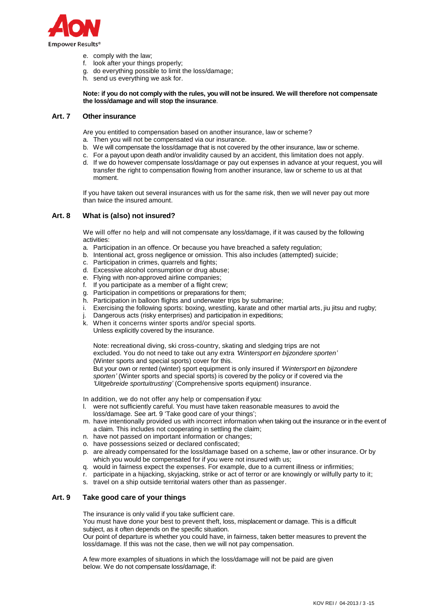

- e. comply with the law;
- f. look after your things properly;
- g. do everything possible to limit the loss/damage;
- h. send us everything we ask for.

**Note: if you do not comply with the rules, you will not be insured. We will therefore not compensate the loss/damage and will stop the insurance**.

### **Art. 7 Other insurance**

Are you entitled to compensation based on another insurance, law or scheme?

- a. Then you will not be compensated via our insurance.
- b. We will compensate the loss/damage that is not covered by the other insurance, law or scheme.
- c. For a payout upon death and/or invalidity caused by an accident, this limitation does not apply.
- d. If we do however compensate loss/damage or pay out expenses in advance at your request, you will transfer the right to compensation flowing from another insurance, law or scheme to us at that moment.

If you have taken out several insurances with us for the same risk, then we will never pay out more than twice the insured amount.

## **Art. 8 What is (also) not insured?**

We will offer no help and will not compensate any loss/damage, if it was caused by the following activities:

- a. Participation in an offence. Or because you have breached a safety regulation;
- b. Intentional act, gross negligence or omission. This also includes (attempted) suicide;
- c. Participation in crimes, quarrels and fights;
- d. Excessive alcohol consumption or drug abuse;
- e. Flying with non-approved airline companies;
- f. If you participate as a member of a flight crew;
- g. Participation in competitions or preparations for them;
- h. Participation in balloon flights and underwater trips by submarine;
- i. Exercising the following sports: boxing, wrestling, karate and other martial arts, jiu jitsu and rugby;
- j. Dangerous acts (risky enterprises) and participation in expeditions;
- k. When it concerns winter sports and/or special sports.
- Unless explicitly covered by the insurance.

Note: recreational diving, ski cross-country, skating and sledging trips are not

- excluded. You do not need to take out any extra *'Wintersport en bijzondere sporten'*
- (Winter sports and special sports) cover for this.

But your own or rented (winter) sport equipment is only insured if *'Wintersport en bijzondere sporten'* (Winter sports and special sports) is covered by the policy or if covered via the *'Uitgebreide sportuitrusting'* (Comprehensive sports equipment) insurance.

In addition, we do not offer any help or compensation if you:

- l. were not sufficiently careful. You must have taken reasonable measures to avoid the loss/damage. See art. 9 'Take good care of your things';
- m. have intentionally provided us with incorrect information when taking out the insurance or in the event of a claim. This includes not cooperating in settling the claim;
- n. have not passed on important information or changes;
- o. have possessions seized or declared confiscated;
- p. are already compensated for the loss/damage based on a scheme, law or other insurance. Or by which you would be compensated for if you were not insured with us;
- q. would in fairness expect the expenses. For example, due to a current illness or infirmities;
- r. participate in a hijacking, skyjacking, strike or act of terror or are knowingly or wilfully party to it;
- s. travel on a ship outside territorial waters other than as passenger.

## **Art. 9 Take good care of your things**

The insurance is only valid if you take sufficient care.

You must have done your best to prevent theft, loss, misplacement or damage. This is a difficult subject, as it often depends on the specific situation.

Our point of departure is whether you could have, in fairness, taken better measures to prevent the loss/damage. If this was not the case, then we will not pay compensation.

A few more examples of situations in which the loss/damage will not be paid are given below. We do not compensate loss/damage, if: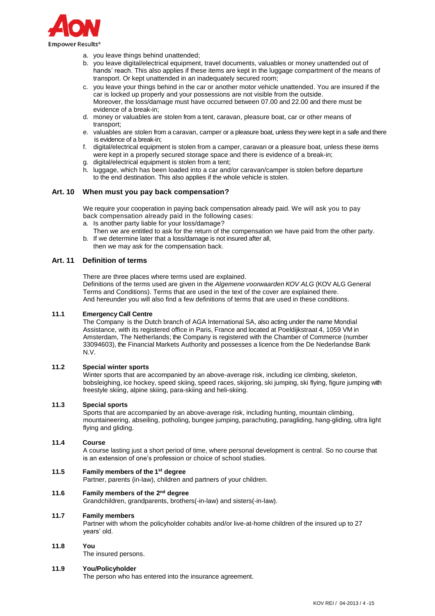

- a. you leave things behind unattended;
- b. you leave digital/electrical equipment, travel documents, valuables or money unattended out of hands' reach. This also applies if these items are kept in the luggage compartment of the means of transport. Or kept unattended in an inadequately secured room;
- c. you leave your things behind in the car or another motor vehicle unattended. You are insured if the car is locked up properly and your possessions are not visible from the outside. Moreover, the loss/damage must have occurred between 07.00 and 22.00 and there must be evidence of a break-in;
- d. money or valuables are stolen from a tent, caravan, pleasure boat, car or other means of transport;
- e. valuables are stolen from a caravan, camper or a pleasure boat, unless they were kept in a safe and there is evidence of a break-in;
- f. digital/electrical equipment is stolen from a camper, caravan or a pleasure boat, unless these items were kept in a properly secured storage space and there is evidence of a break-in;
- g. digital/electrical equipment is stolen from a tent;
- h. luggage, which has been loaded into a car and/or caravan/camper is stolen before departure to the end destination. This also applies if the whole vehicle is stolen.

## **Art. 10 When must you pay back compensation?**

We require your cooperation in paying back compensation already paid. We will ask you to pay back compensation already paid in the following cases:

- a. Is another party liable for your loss/damage?
- Then we are entitled to ask for the return of the compensation we have paid from the other party. b. If we determine later that a loss/damage is not insured after all,
	- then we may ask for the compensation back.

## **Art. 11 Definition of terms**

There are three places where terms used are explained.

Definitions of the terms used are given in the *Algemene voorwaarden KOV ALG* (KOV ALG General Terms and Conditions). Terms that are used in the text of the cover are explained there. And hereunder you will also find a few definitions of terms that are used in these conditions.

## **11.1 Emergency Call Centre**

The Company is the Dutch branch of AGA International SA, also acting under the name Mondial Assistance, with its registered office in Paris, France and located at Poeldijkstraat 4, 1059 VM in Amsterdam, The Netherlands; the Company is registered with the Chamber of Commerce (number 33094603), the Financial Markets Authority and possesses a licence from the De Nederlandse Bank N.V.

## **11.2 Special winter sports**

Winter sports that are accompanied by an above-average risk, including ice climbing, skeleton, bobsleighing, ice hockey, speed skiing, speed races, skijoring, ski jumping, ski flying, figure jumping with freestyle skiing, alpine skiing, para-skiing and heli-skiing.

## **11.3 Special sports**

Sports that are accompanied by an above-average risk, including hunting, mountain climbing, mountaineering, abseiling, potholing, bungee jumping, parachuting, paragliding, hang-gliding, ultra light flying and gliding.

## **11.4 Course**

A course lasting just a short period of time, where personal development is central. So no course that is an extension of one's profession or choice of school studies.

## **11.5 Family members of the 1 st degree**

Partner, parents (in-law), children and partners of your children.

## **11.6 Family members of the 2 nd degree**

Grandchildren, grandparents, brothers(-in-law) and sisters(-in-law).

#### **11.7 Family members**

Partner with whom the policyholder cohabits and/or live-at-home children of the insured up to 27 years' old.

## **11.8 You**

The insured persons.

#### **11.9 You/Policyholder**

The person who has entered into the insurance agreement.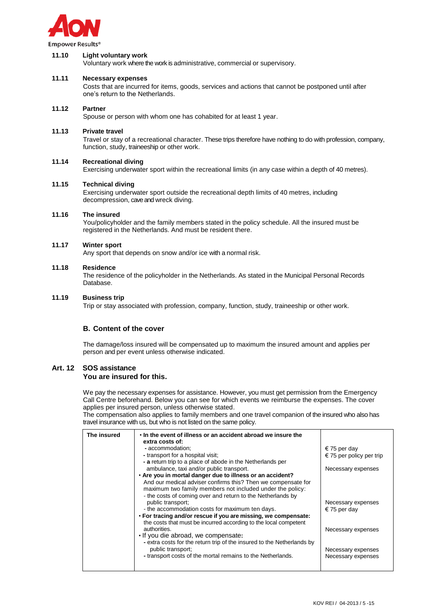

#### **Empower Results®**

#### **11.10 Light voluntary work**

Voluntary work where the work is administrative, commercial or supervisory.

## **11.11 Necessary expenses**

Costs that are incurred for items, goods, services and actions that cannot be postponed until after one's return to the Netherlands.

#### **11.12 Partner**

Spouse or person with whom one has cohabited for at least 1 year.

#### **11.13 Private travel**

Travel or stay of a recreational character. These trips therefore have nothing to do with profession, company, function, study, traineeship or other work.

#### **11.14 Recreational diving**

Exercising underwater sport within the recreational limits (in any case within a depth of 40 metres).

### **11.15 Technical diving**

Exercising underwater sport outside the recreational depth limits of 40 metres, including decompression, cave and wreck diving.

#### **11.16 The insured**

You/policyholder and the family members stated in the policy schedule. All the insured must be registered in the Netherlands. And must be resident there.

#### **11.17 Winter sport**

Any sport that depends on snow and/or ice with a normal risk.

#### **11.18 Residence**

The residence of the policyholder in the Netherlands. As stated in the Municipal Personal Records Database.

#### **11.19 Business trip**

Trip or stay associated with profession, company, function, study, traineeship or other work.

#### **B. Content of the cover**

The damage/loss insured will be compensated up to maximum the insured amount and applies per person and per event unless otherwise indicated.

#### **Art. 12 SOS assistance You are insured for this.**

We pay the necessary expenses for assistance. However, you must get permission from the Emergency Call Centre beforehand. Below you can see for which events we reimburse the expenses. The cover applies per insured person, unless otherwise stated.

The compensation also applies to family members and one travel companion of the insured who also has travel insurance with us, but who is not listed on the same policy.

| The insured | . In the event of illness or an accident abroad we insure the<br>extra costs of: |                          |
|-------------|----------------------------------------------------------------------------------|--------------------------|
|             | - accommodation:                                                                 | € 75 per day             |
|             | - transport for a hospital visit;                                                | € 75 per policy per trip |
|             | - a return trip to a place of abode in the Netherlands per                       |                          |
|             | ambulance, taxi and/or public transport.                                         | Necessary expenses       |
|             | . Are you in mortal danger due to illness or an accident?                        |                          |
|             | And our medical adviser confirms this? Then we compensate for                    |                          |
|             | maximum two family members not included under the policy:                        |                          |
|             | - the costs of coming over and return to the Netherlands by                      |                          |
|             | public transport;<br>- the accommodation costs for maximum ten days.             | Necessary expenses       |
|             | • For tracing and/or rescue if you are missing, we compensate:                   | € 75 per day             |
|             | the costs that must be incurred according to the local competent                 |                          |
|             | authorities.                                                                     | Necessary expenses       |
|             | . If you die abroad, we compensate:                                              |                          |
|             | - extra costs for the return trip of the insured to the Netherlands by           |                          |
|             | public transport;                                                                | Necessary expenses       |
|             | - transport costs of the mortal remains to the Netherlands.                      | Necessary expenses       |
|             |                                                                                  |                          |
|             |                                                                                  |                          |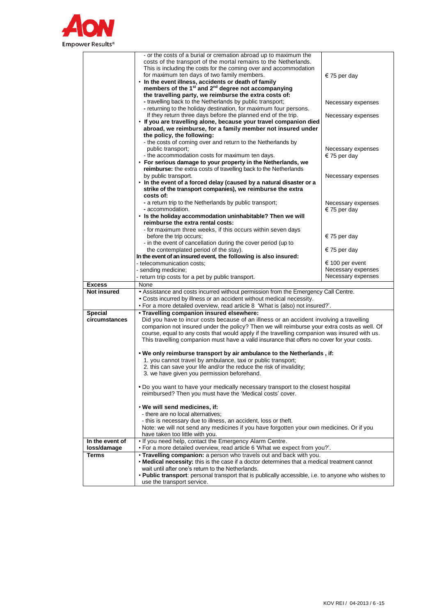

|                    | - or the costs of a burial or cremation abroad up to maximum the                                                                 |                                          |
|--------------------|----------------------------------------------------------------------------------------------------------------------------------|------------------------------------------|
|                    | costs of the transport of the mortal remains to the Netherlands.                                                                 |                                          |
|                    | This is including the costs for the coming over and accommodation                                                                |                                          |
|                    | for maximum ten days of two family members.                                                                                      | € 75 per day                             |
|                    | . In the event illness, accidents or death of family                                                                             |                                          |
|                    | members of the 1 <sup>st</sup> and 2 <sup>nd</sup> degree not accompanying                                                       |                                          |
|                    | the travelling party, we reimburse the extra costs of:                                                                           |                                          |
|                    | - travelling back to the Netherlands by public transport;                                                                        | Necessary expenses                       |
|                    | - returning to the holiday destination, for maximum four persons.                                                                |                                          |
|                    | If they return three days before the planned end of the trip.                                                                    | Necessary expenses                       |
|                    | . If you are travelling alone, because your travel companion died                                                                |                                          |
|                    | abroad, we reimburse, for a family member not insured under<br>the policy, the following:                                        |                                          |
|                    |                                                                                                                                  |                                          |
|                    | - the costs of coming over and return to the Netherlands by<br>public transport;                                                 | Necessary expenses                       |
|                    | - the accommodation costs for maximum ten days.                                                                                  | € 75 per day                             |
|                    | • For serious damage to your property in the Netherlands, we                                                                     |                                          |
|                    | reimburse: the extra costs of travelling back to the Netherlands                                                                 |                                          |
|                    | by public transport.                                                                                                             |                                          |
|                    | • In the event of a forced delay (caused by a natural disaster or a                                                              | Necessary expenses                       |
|                    | strike of the transport companies), we reimburse the extra                                                                       |                                          |
|                    | costs of:                                                                                                                        |                                          |
|                    | - a return trip to the Netherlands by public transport;                                                                          | Necessary expenses                       |
|                    | - accommodation.                                                                                                                 | € 75 per day                             |
|                    | . Is the holiday accommodation uninhabitable? Then we will                                                                       |                                          |
|                    | reimburse the extra rental costs:                                                                                                |                                          |
|                    | - for maximum three weeks, if this occurs within seven days                                                                      |                                          |
|                    | before the trip occurs;                                                                                                          | $\epsilon$ 75 per day                    |
|                    | - in the event of cancellation during the cover period (up to                                                                    |                                          |
|                    | the contemplated period of the stay).                                                                                            | € 75 per day                             |
|                    | In the event of an insured event, the following is also insured:                                                                 |                                          |
|                    | - telecommunication costs;                                                                                                       | € 100 per event                          |
|                    |                                                                                                                                  |                                          |
|                    |                                                                                                                                  |                                          |
|                    | - sending medicine;                                                                                                              | Necessary expenses<br>Necessary expenses |
|                    | - return trip costs for a pet by public transport.                                                                               |                                          |
| <b>Excess</b>      | None                                                                                                                             |                                          |
| <b>Not insured</b> | • Assistance and costs incurred without permission from the Emergency Call Centre.                                               |                                          |
|                    | . Costs incurred by illness or an accident without medical necessity.                                                            |                                          |
|                    | . For a more detailed overview, read article 8 'What is (also) not insured?'.                                                    |                                          |
| <b>Special</b>     | • Travelling companion insured elsewhere:                                                                                        |                                          |
| circumstances      | Did you have to incur costs because of an illness or an accident involving a travelling                                          |                                          |
|                    | companion not insured under the policy? Then we will reimburse your extra costs as well. Of                                      |                                          |
|                    | course, equal to any costs that would apply if the travelling companion was insured with us.                                     |                                          |
|                    | This travelling companion must have a valid insurance that offers no cover for your costs.                                       |                                          |
|                    | . We only reimburse transport by air ambulance to the Netherlands, if:                                                           |                                          |
|                    | 1. you cannot travel by ambulance, taxi or public transport;                                                                     |                                          |
|                    | 2. this can save your life and/or the reduce the risk of invalidity;                                                             |                                          |
|                    | 3. we have given you permission beforehand.                                                                                      |                                          |
|                    |                                                                                                                                  |                                          |
|                    | . Do you want to have your medically necessary transport to the closest hospital                                                 |                                          |
|                    | reimbursed? Then you must have the 'Medical costs' cover.                                                                        |                                          |
|                    |                                                                                                                                  |                                          |
|                    | . We will send medicines, if:                                                                                                    |                                          |
|                    | - there are no local alternatives;                                                                                               |                                          |
|                    | - this is necessary due to illness, an accident, loss or theft.                                                                  |                                          |
|                    | Note: we will not send any medicines if you have forgotten your own medicines. Or if you                                         |                                          |
|                    | have taken too little with you.                                                                                                  |                                          |
| In the event of    | . If you need help, contact the Emergency Alarm Centre.                                                                          |                                          |
| loss/damage        | . For a more detailed overview, read article 6 'What we expect from you?'.                                                       |                                          |
| Terms              | . Travelling companion: a person who travels out and back with you.                                                              |                                          |
|                    | • Medical necessity: this is the case if a doctor determines that a medical treatment cannot                                     |                                          |
|                    | wait until after one's return to the Netherlands.                                                                                |                                          |
|                    | . Public transport: personal transport that is publically accessible, i.e. to anyone who wishes to<br>use the transport service. |                                          |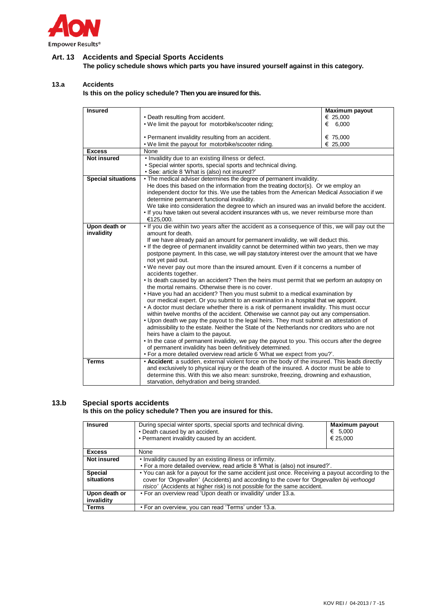

# **Art. 13 Accidents and Special Sports Accidents**

**The policy schedule shows which parts you have insured yourself against in this category.**

## **13.a Accidents**

**Is this on the policy schedule? Then you are insured for this.**

| <b>Insured</b>            |                                                                                                                   | <b>Maximum payout</b> |
|---------------------------|-------------------------------------------------------------------------------------------------------------------|-----------------------|
|                           | • Death resulting from accident.                                                                                  | € 25,000              |
|                           | . We limit the payout for motorbike/scooter riding;                                                               | € 6,000               |
|                           | • Permanent invalidity resulting from an accident.                                                                | € 75,000              |
|                           | . We limit the payout for motorbike/scooter riding.                                                               | € 25,000              |
| <b>Excess</b>             | None                                                                                                              |                       |
| <b>Not insured</b>        | . Invalidity due to an existing illness or defect.                                                                |                       |
|                           | • Special winter sports, special sports and technical diving.                                                     |                       |
|                           | • See: article 8 'What is (also) not insured?'                                                                    |                       |
| <b>Special situations</b> | • The medical adviser determines the degree of permanent invalidity.                                              |                       |
|                           | He does this based on the information from the treating doctor(s). Or we employ an                                |                       |
|                           | independent doctor for this. We use the tables from the American Medical Association if we                        |                       |
|                           | determine permanent functional invalidity.                                                                        |                       |
|                           | We take into consideration the degree to which an insured was an invalid before the accident.                     |                       |
|                           | . If you have taken out several accident insurances with us, we never reimburse more than                         |                       |
|                           | €125,000.                                                                                                         |                       |
| Upon death or             | . If you die within two years after the accident as a consequence of this, we will pay out the                    |                       |
| invalidity                | amount for death.                                                                                                 |                       |
|                           | If we have already paid an amount for permanent invalidity, we will deduct this.                                  |                       |
|                           | . If the degree of permanent invalidity cannot be determined within two years, then we may                        |                       |
|                           | postpone payment. In this case, we will pay statutory interest over the amount that we have                       |                       |
|                           | not yet paid out.                                                                                                 |                       |
|                           | . We never pay out more than the insured amount. Even if it concerns a number of                                  |                       |
|                           | accidents together.<br>. Is death caused by an accident? Then the heirs must permit that we perform an autopsy on |                       |
|                           | the mortal remains. Otherwise there is no cover.                                                                  |                       |
|                           | • Have you had an accident? Then you must submit to a medical examination by                                      |                       |
|                           | our medical expert. Or you submit to an examination in a hospital that we appoint.                                |                       |
|                           | • A doctor must declare whether there is a risk of permanent invalidity. This must occur                          |                       |
|                           | within twelve months of the accident. Otherwise we cannot pay out any compensation.                               |                       |
|                           | • Upon death we pay the payout to the legal heirs. They must submit an attestation of                             |                       |
|                           | admissibility to the estate. Neither the State of the Netherlands nor creditors who are not                       |                       |
|                           | heirs have a claim to the payout.                                                                                 |                       |
|                           | • In the case of permanent invalidity, we pay the payout to you. This occurs after the degree                     |                       |
|                           | of permanent invalidity has been definitively determined.                                                         |                       |
|                           | . For a more detailed overview read article 6 What we expect from you?'.                                          |                       |
| <b>Terms</b>              | • Accident: a sudden, external violent force on the body of the insured. This leads directly                      |                       |
|                           | and exclusively to physical injury or the death of the insured. A doctor must be able to                          |                       |
|                           | determine this. With this we also mean: sunstroke, freezing, drowning and exhaustion,                             |                       |
|                           | starvation, dehydration and being stranded.                                                                       |                       |

# **13.b Special sports accidents**

## **Is this on the policy schedule? Then you are insured for this.**

| <b>Insured</b>               | During special winter sports, special sports and technical diving.<br>• Death caused by an accident.<br>• Permanent invalidity caused by an accident.                                         | <b>Maximum payout</b><br>€ 5,000<br>€ 25,000 |
|------------------------------|-----------------------------------------------------------------------------------------------------------------------------------------------------------------------------------------------|----------------------------------------------|
| <b>Excess</b>                | None                                                                                                                                                                                          |                                              |
| <b>Not insured</b>           | . Invalidity caused by an existing illness or infirmity.                                                                                                                                      |                                              |
|                              | . For a more detailed overview, read article 8 'What is (also) not insured?'.                                                                                                                 |                                              |
| <b>Special</b><br>situations | • You can ask for a payout for the same accident just once. Receiving a payout according to the<br>cover for 'Ongevallen' (Accidents) and according to the cover for 'Ongevallen bij verhoogd |                                              |
|                              | risico' (Accidents at higher risk) is not possible for the same accident.                                                                                                                     |                                              |
| Upon death or<br>invalidity  | • For an overview read 'Upon death or invalidity' under 13.a.                                                                                                                                 |                                              |
| <b>Terms</b>                 | . For an overview, you can read 'Terms' under 13.a.                                                                                                                                           |                                              |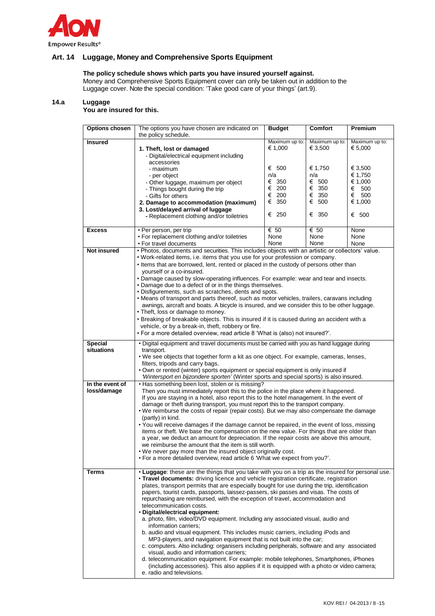

## **Art. 14 Luggage, Money and Comprehensive Sports Equipment**

## **The policy schedule shows which parts you have insured yourself against.**

Money and Comprehensive Sports Equipment cover can only be taken out in addition to the Luggage cover. Note the special condition: 'Take good care of your things' (art.9).

#### **14.a Luggage**

**You are insured for this.**

| <b>Options chosen</b>          | The options you have chosen are indicated on<br>the policy schedule.                                                                                                                                                                                                                                                                                                                                                                                                                                                                                                                                                                                                                                                                                                                                                                                                                                                                                                                                                                                                                                                                                                      | <b>Budget</b>                                             | <b>Comfort</b>                                              | Premium                                                                   |
|--------------------------------|---------------------------------------------------------------------------------------------------------------------------------------------------------------------------------------------------------------------------------------------------------------------------------------------------------------------------------------------------------------------------------------------------------------------------------------------------------------------------------------------------------------------------------------------------------------------------------------------------------------------------------------------------------------------------------------------------------------------------------------------------------------------------------------------------------------------------------------------------------------------------------------------------------------------------------------------------------------------------------------------------------------------------------------------------------------------------------------------------------------------------------------------------------------------------|-----------------------------------------------------------|-------------------------------------------------------------|---------------------------------------------------------------------------|
| <b>Insured</b>                 | 1. Theft, lost or damaged<br>- Digital/electrical equipment including<br>accessories                                                                                                                                                                                                                                                                                                                                                                                                                                                                                                                                                                                                                                                                                                                                                                                                                                                                                                                                                                                                                                                                                      | Maximum up to:<br>€ 1,000                                 | Maximum up to:<br>€ 3,500                                   | Maximum up to:<br>€ 5,000                                                 |
|                                | - maximum<br>- per object<br>- Other luggage, maximum per object<br>- Things bought during the trip<br>- Gifts for others<br>2. Damage to accommodation (maximum)<br>3. Lost/delayed arrival of luggage<br>- Replacement clothing and/or toiletries                                                                                                                                                                                                                                                                                                                                                                                                                                                                                                                                                                                                                                                                                                                                                                                                                                                                                                                       | € 500<br>n/a<br>€ 350<br>€ 200<br>€ 200<br>€ 350<br>€ 250 | € 1,750<br>n/a<br>€ 500<br>€ 350<br>€ 350<br>€ 500<br>€ 350 | € 3,500<br>€ 1,750<br>€ 1,000<br>€<br>500<br>€<br>500<br>€ 1,000<br>€ 500 |
| <b>Excess</b>                  | · Per person, per trip<br>• For replacement clothing and/or toiletries<br>• For travel documents                                                                                                                                                                                                                                                                                                                                                                                                                                                                                                                                                                                                                                                                                                                                                                                                                                                                                                                                                                                                                                                                          | € 50<br>None<br>None                                      | € 50<br>None<br>None                                        | None<br>None<br>None                                                      |
| <b>Not insured</b>             | . Photos, documents and securities. This includes objects with an artistic or collectors' value.<br>. Work-related items, i.e. items that you use for your profession or company.<br>. Items that are borrowed, lent, rented or placed in the custody of persons other than<br>yourself or a co-insured.<br>. Damage caused by slow-operating influences. For example: wear and tear and insects.<br>• Damage due to a defect of or in the things themselves.<br>· Disfigurements, such as scratches, dents and spots.<br>• Means of transport and parts thereof, such as motor vehicles, trailers, caravans including<br>awnings, aircraft and boats. A bicycle is insured, and we consider this to be other luggage.<br>• Theft, loss or damage to money.<br>• Breaking of breakable objects. This is insured if it is caused during an accident with a<br>vehicle, or by a break-in, theft, robbery or fire.<br>. For a more detailed overview, read article 8 'What is (also) not insured?'.                                                                                                                                                                          |                                                           |                                                             |                                                                           |
| Special<br>situations          | . Digital equipment and travel documents must be carried with you as hand luggage during<br>transport.<br>• We see objects that together form a kit as one object. For example, cameras, lenses,<br>filters, tripods and carry bags.<br>. Own or rented (winter) sports equipment or special equipment is only insured if<br>'Wintersport en bijzondere sporten' (Winter sports and special sports) is also insured.                                                                                                                                                                                                                                                                                                                                                                                                                                                                                                                                                                                                                                                                                                                                                      |                                                           |                                                             |                                                                           |
| In the event of<br>loss/damage | • Has something been lost, stolen or is missing?<br>Then you must immediately report this to the police in the place where it happened.<br>If you are staying in a hotel, also report this to the hotel management. In the event of<br>damage or theft during transport, you must report this to the transport company.<br>. We reimburse the costs of repair (repair costs). But we may also compensate the damage<br>(partly) in kind.<br>. You will receive damages if the damage cannot be repaired, in the event of loss, missing<br>items or theft. We base the compensation on the new value. For things that are older than<br>a year, we deduct an amount for depreciation. If the repair costs are above this amount,<br>we reimburse the amount that the item is still worth.<br>We never pay more than the insured object originally cost.<br>. For a more detailed overview, read article 6 'What we expect from you?'.                                                                                                                                                                                                                                      |                                                           |                                                             |                                                                           |
| Terms                          | . Luggage: these are the things that you take with you on a trip as the insured for personal use.<br>• Travel documents: driving licence and vehicle registration certificate, registration<br>plates, transport permits that are especially bought for use during the trip, identification<br>papers, tourist cards, passports, laissez-passers, ski passes and visas. The costs of<br>repurchasing are reimbursed, with the exception of travel, accommodation and<br>telecommunication costs.<br>· Digital/electrical equipment:<br>a. photo, film, video/DVD equipment. Including any associated visual, audio and<br>information carriers;<br>b. audio and visual equipment. This includes music carriers, including iPods and<br>MP3-players, and navigation equipment that is not built into the car;<br>c. computers. Also including: organisers including peripherals, software and any associated<br>visual, audio and information carriers;<br>d. telecommunication equipment. For example: mobile telephones, Smartphones, iPhones<br>(including accessories). This also applies if it is equipped with a photo or video camera;<br>e. radio and televisions. |                                                           |                                                             |                                                                           |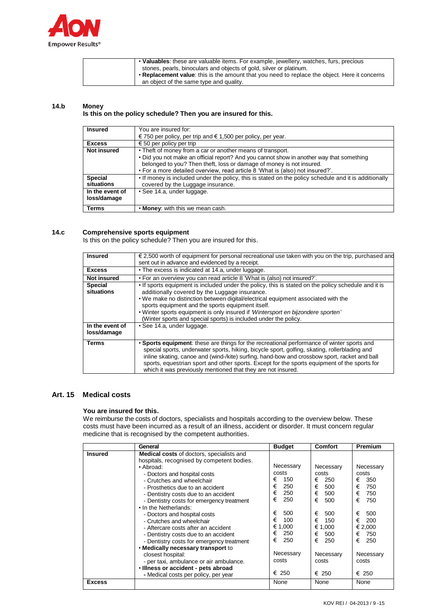

| • Valuables: these are valuable items. For example, jewellery, watches, furs, precious        |  |
|-----------------------------------------------------------------------------------------------|--|
| stones, pearls, binoculars and objects of gold, silver or platinum.                           |  |
| • Replacement value: this is the amount that you need to replace the object. Here it concerns |  |
| an object of the same type and quality.                                                       |  |

#### **14.b Money**

## **Is this on the policy schedule? Then you are insured for this.**

| <b>Insured</b>     | You are insured for:                                                                                  |
|--------------------|-------------------------------------------------------------------------------------------------------|
|                    | € 750 per policy, per trip and € 1,500 per policy, per year.                                          |
| <b>Excess</b>      | € 50 per policy per trip                                                                              |
| <b>Not insured</b> | • Theft of money from a car or another means of transport.                                            |
|                    | • Did you not make an official report? And you cannot show in another way that something              |
|                    | belonged to you? Then theft, loss or damage of money is not insured.                                  |
|                    | . For a more detailed overview, read article 8 'What is (also) not insured?'.                         |
| <b>Special</b>     | • If money is included under the policy, this is stated on the policy schedule and it is additionally |
| situations         | covered by the Luggage insurance.                                                                     |
| In the event of    | · See 14.a, under luggage.                                                                            |
| loss/damage        |                                                                                                       |
| Terms              | . Money: with this we mean cash.                                                                      |

## **14.c Comprehensive sports equipment**

Is this on the policy schedule? Then you are insured for this.

| <b>Insured</b><br><b>Excess</b> | $\epsilon$ 2,500 worth of equipment for personal recreational use taken with you on the trip, purchased and<br>sent out in advance and evidenced by a receipt.<br>• The excess is indicated at 14.a, under luggage.                                                                                                                                                                                                                                         |
|---------------------------------|-------------------------------------------------------------------------------------------------------------------------------------------------------------------------------------------------------------------------------------------------------------------------------------------------------------------------------------------------------------------------------------------------------------------------------------------------------------|
| <b>Not insured</b>              | . For an overview you can read article 8 'What is (also) not insured?'.                                                                                                                                                                                                                                                                                                                                                                                     |
| <b>Special</b><br>situations    | • If sports equipment is included under the policy, this is stated on the policy schedule and it is<br>additionally covered by the Luggage insurance.<br>. We make no distinction between digital/electrical equipment associated with the<br>sports equipment and the sports equipment itself.<br>. Winter sports equipment is only insured if 'Wintersport en bijzondere sporten'<br>(Winter sports and special sports) is included under the policy.     |
| In the event of<br>loss/damage  | · See 14.a, under luggage.                                                                                                                                                                                                                                                                                                                                                                                                                                  |
| <b>Terms</b>                    | • Sports equipment: these are things for the recreational performance of winter sports and<br>special sports, underwater sports, hiking, bicycle sport, golfing, skating, rollerblading and<br>inline skating, canoe and (wind-/kite) surfing, hand-bow and crossbow sport, racket and ball<br>sports, equestrian sport and other sports. Except for the sports equipment of the sports for<br>which it was previously mentioned that they are not insured. |

#### **Art. 15 Medical costs**

## **You are insured for this.**

We reimburse the costs of doctors, specialists and hospitals according to the overview below. These costs must have been incurred as a result of an illness, accident or disorder. It must concern regular medicine that is recognised by the competent authorities.

|                | General                                                                                                                                                                                                                                                                                                                                                                                                                                                                | <b>Budget</b>                                                                                                     | <b>Comfort</b>                                                                                                    | Premium                                                                                                           |
|----------------|------------------------------------------------------------------------------------------------------------------------------------------------------------------------------------------------------------------------------------------------------------------------------------------------------------------------------------------------------------------------------------------------------------------------------------------------------------------------|-------------------------------------------------------------------------------------------------------------------|-------------------------------------------------------------------------------------------------------------------|-------------------------------------------------------------------------------------------------------------------|
| <b>Insured</b> | <b>Medical costs of doctors, specialists and</b><br>hospitals, recognised by competent bodies.<br>• Abroad:<br>- Doctors and hospital costs<br>- Crutches and wheelchair<br>- Prosthetics due to an accident<br>- Dentistry costs due to an accident<br>- Dentistry costs for emergency treatment<br>• In the Netherlands:<br>- Doctors and hospital costs<br>- Crutches and wheelchair<br>- Aftercare costs after an accident<br>- Dentistry costs due to an accident | Necessary<br>costs<br>€<br>150<br>€<br>250<br>€<br>250<br>€<br>250<br>€<br>500<br>€<br>100<br>€ 1,000<br>€<br>250 | Necessary<br>costs<br>€<br>250<br>€<br>500<br>€<br>500<br>€<br>500<br>€<br>500<br>€<br>150<br>€ 1,000<br>€<br>500 | Necessary<br>costs<br>€<br>350<br>€<br>750<br>€<br>750<br>€<br>750<br>€<br>500<br>€<br>200<br>€ 2.000<br>€<br>750 |
|                | - Dentistry costs for emergency treatment                                                                                                                                                                                                                                                                                                                                                                                                                              | €<br>250                                                                                                          | €<br>250                                                                                                          | €<br>250                                                                                                          |
|                | . Medically necessary transport to<br>closest hospital:<br>- per taxi, ambulance or air ambulance.<br>· Illness or accident - pets abroad                                                                                                                                                                                                                                                                                                                              | Necessary<br>costs<br>$\epsilon$ 250                                                                              | Necessary<br>costs<br>€ 250                                                                                       | Necessary<br>costs<br>€ 250                                                                                       |
| <b>Excess</b>  | - Medical costs per policy, per year                                                                                                                                                                                                                                                                                                                                                                                                                                   | None                                                                                                              | None                                                                                                              | None                                                                                                              |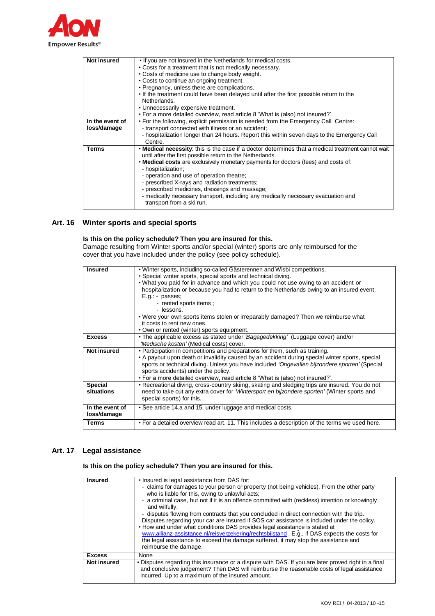

| <b>Not insured</b> | . If you are not insured in the Netherlands for medical costs.                                    |
|--------------------|---------------------------------------------------------------------------------------------------|
|                    | • Costs for a treatment that is not medically necessary.                                          |
|                    | • Costs of medicine use to change body weight.                                                    |
|                    | • Costs to continue an ongoing treatment.                                                         |
|                    | • Pregnancy, unless there are complications.                                                      |
|                    | . If the treatment could have been delayed until after the first possible return to the           |
|                    | Netherlands.                                                                                      |
|                    | • Unnecessarily expensive treatment.                                                              |
|                    | . For a more detailed overview, read article 8 'What is (also) not insured?'.                     |
| In the event of    | • For the following, explicit permission is needed from the Emergency Call Centre:                |
| loss/damage        | - transport connected with illness or an accident;                                                |
|                    | - hospitalization longer than 24 hours. Report this within seven days to the Emergency Call       |
|                    | Centre.                                                                                           |
| Terms              | • Medical necessity: this is the case if a doctor determines that a medical treatment cannot wait |
|                    | until after the first possible return to the Netherlands.                                         |
|                    | . Medical costs are exclusively monetary payments for doctors (fees) and costs of:                |
|                    | - hospitalization;                                                                                |
|                    | - operation and use of operation theatre;                                                         |
|                    | - prescribed X-rays and radiation treatments;                                                     |
|                    | - prescribed medicines, dressings and massage;                                                    |
|                    | - medically necessary transport, including any medically necessary evacuation and                 |
|                    | transport from a ski run.                                                                         |

## **Art. 16 Winter sports and special sports**

## **Is this on the policy schedule? Then you are insured for this.**

Damage resulting from Winter sports and/or special (winter) sports are only reimbursed for the cover that you have included under the policy (see policy schedule).

| <b>Insured</b>     | . Winter sports, including so-called Gästerennen and Wisbi competitions.                        |
|--------------------|-------------------------------------------------------------------------------------------------|
|                    | · Special winter sports, special sports and technical diving.                                   |
|                    | . What you paid for in advance and which you could not use owing to an accident or              |
|                    |                                                                                                 |
|                    | hospitalization or because you had to return to the Netherlands owing to an insured event.      |
|                    | E.g. passes;                                                                                    |
|                    | - rented sports items;                                                                          |
|                    | - lessons.                                                                                      |
|                    | • Were your own sports items stolen or irreparably damaged? Then we reimburse what              |
|                    | it costs to rent new ones.                                                                      |
|                    | • Own or rented (winter) sports equipment.                                                      |
| <b>Excess</b>      | . The applicable excess as stated under 'Bagagedekking' (Luggage cover) and/or                  |
|                    | 'Medische kosten' (Medical costs) cover.                                                        |
| <b>Not insured</b> | • Participation in competitions and preparations for them, such as training.                    |
|                    | • A payout upon death or invalidity caused by an accident during special winter sports, special |
|                    | sports or technical diving. Unless you have included 'Ongevallen bijzondere sporten' (Special   |
|                    | sports accidents) under the policy.                                                             |
|                    | . For a more detailed overview, read article 8 'What is (also) not insured?'.                   |
|                    |                                                                                                 |
|                    |                                                                                                 |
| <b>Special</b>     | • Recreational diving, cross-country skiing, skating and sledging trips are insured. You do not |
| situations         | need to take out any extra cover for 'Wintersport en bijzondere sporten' (Winter sports and     |
|                    | special sports) for this.                                                                       |
| In the event of    | • See article 14.a and 15, under luggage and medical costs.                                     |
| loss/damage        |                                                                                                 |
| <b>Terms</b>       | . For a detailed overview read art. 11. This includes a description of the terms we used here.  |

## **Art. 17 Legal assistance**

**Is this on the policy schedule? Then you are insured for this.**

| <b>Insured</b>     | . Insured is legal assistance from DAS for:<br>- claims for damages to your person or property (not being vehicles). From the other party<br>who is liable for this, owing to unlawful acts;<br>- a criminal case, but not if it is an offence committed with (reckless) intention or knowingly<br>and wilfully;<br>- disputes flowing from contracts that you concluded in direct connection with the trip.<br>Disputes regarding your car are insured if SOS car assistance is included under the oolicy.<br>• How and under what conditions DAS provides legal assistance is stated at<br>www.allianz-assistance.nl/reisverzekering/rechtsbijstand . E.g., if DAS expects the costs for<br>the legal assistance to exceed the damage suffered, it may stop the assistance and<br>reimburse the damage. |
|--------------------|-----------------------------------------------------------------------------------------------------------------------------------------------------------------------------------------------------------------------------------------------------------------------------------------------------------------------------------------------------------------------------------------------------------------------------------------------------------------------------------------------------------------------------------------------------------------------------------------------------------------------------------------------------------------------------------------------------------------------------------------------------------------------------------------------------------|
| <b>Excess</b>      | None                                                                                                                                                                                                                                                                                                                                                                                                                                                                                                                                                                                                                                                                                                                                                                                                      |
| <b>Not insured</b> | . Disputes regarding this insurance or a dispute with DAS. If you are later proved right in a final<br>and conclusive judgement? Then DAS will reimburse the reasonable costs of legal assistance<br>incurred. Up to a maximum of the insured amount.                                                                                                                                                                                                                                                                                                                                                                                                                                                                                                                                                     |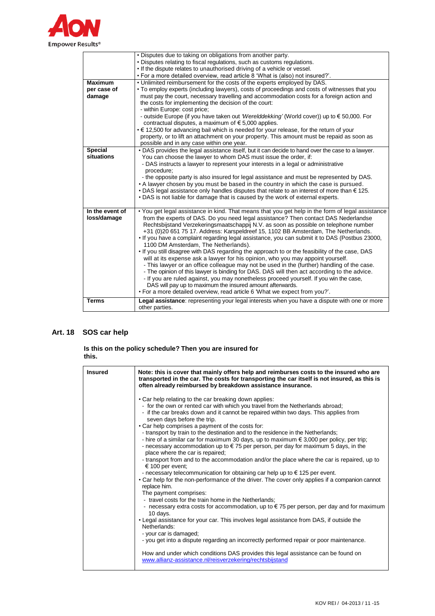

|                                | . Disputes due to taking on obligations from another party.                                                                                                                                                                                                                                                                                                                                                                                                                                                                                                                                                                                                                                                                                                                                                                                                                                                                                                                                                                                               |
|--------------------------------|-----------------------------------------------------------------------------------------------------------------------------------------------------------------------------------------------------------------------------------------------------------------------------------------------------------------------------------------------------------------------------------------------------------------------------------------------------------------------------------------------------------------------------------------------------------------------------------------------------------------------------------------------------------------------------------------------------------------------------------------------------------------------------------------------------------------------------------------------------------------------------------------------------------------------------------------------------------------------------------------------------------------------------------------------------------|
|                                | . Disputes relating to fiscal regulations, such as customs regulations.                                                                                                                                                                                                                                                                                                                                                                                                                                                                                                                                                                                                                                                                                                                                                                                                                                                                                                                                                                                   |
|                                | . If the dispute relates to unauthorised driving of a vehicle or vessel.                                                                                                                                                                                                                                                                                                                                                                                                                                                                                                                                                                                                                                                                                                                                                                                                                                                                                                                                                                                  |
|                                | . For a more detailed overview, read article 8 'What is (also) not insured?'.                                                                                                                                                                                                                                                                                                                                                                                                                                                                                                                                                                                                                                                                                                                                                                                                                                                                                                                                                                             |
| <b>Maximum</b>                 | . Unlimited reimbursement for the costs of the experts employed by DAS.                                                                                                                                                                                                                                                                                                                                                                                                                                                                                                                                                                                                                                                                                                                                                                                                                                                                                                                                                                                   |
| per case of                    | • To employ experts (including lawyers), costs of proceedings and costs of witnesses that you                                                                                                                                                                                                                                                                                                                                                                                                                                                                                                                                                                                                                                                                                                                                                                                                                                                                                                                                                             |
| damage                         | must pay the court, necessary travelling and accommodation costs for a foreign action and<br>the costs for implementing the decision of the court:<br>- within Europe: cost price;                                                                                                                                                                                                                                                                                                                                                                                                                                                                                                                                                                                                                                                                                                                                                                                                                                                                        |
|                                | - outside Europe (if you have taken out 'Werelddekking' (World cover)) up to $\epsilon$ 50,000. For<br>contractual disputes, a maximum of $\epsilon$ 5,000 applies.                                                                                                                                                                                                                                                                                                                                                                                                                                                                                                                                                                                                                                                                                                                                                                                                                                                                                       |
|                                | $\cdot \in 12,500$ for advancing bail which is needed for your release, for the return of your                                                                                                                                                                                                                                                                                                                                                                                                                                                                                                                                                                                                                                                                                                                                                                                                                                                                                                                                                            |
|                                | property, or to lift an attachment on your property. This amount must be repaid as soon as<br>possible and in any case within one year.                                                                                                                                                                                                                                                                                                                                                                                                                                                                                                                                                                                                                                                                                                                                                                                                                                                                                                                   |
| <b>Special</b>                 | . DAS provides the legal assistance itself, but it can decide to hand over the case to a lawyer.                                                                                                                                                                                                                                                                                                                                                                                                                                                                                                                                                                                                                                                                                                                                                                                                                                                                                                                                                          |
| situations                     | You can choose the lawyer to whom DAS must issue the order, if:                                                                                                                                                                                                                                                                                                                                                                                                                                                                                                                                                                                                                                                                                                                                                                                                                                                                                                                                                                                           |
|                                | - DAS instructs a lawyer to represent your interests in a legal or administrative                                                                                                                                                                                                                                                                                                                                                                                                                                                                                                                                                                                                                                                                                                                                                                                                                                                                                                                                                                         |
|                                | procedure;                                                                                                                                                                                                                                                                                                                                                                                                                                                                                                                                                                                                                                                                                                                                                                                                                                                                                                                                                                                                                                                |
|                                | - the opposite party is also insured for legal assistance and must be represented by DAS.                                                                                                                                                                                                                                                                                                                                                                                                                                                                                                                                                                                                                                                                                                                                                                                                                                                                                                                                                                 |
|                                | • A lawyer chosen by you must be based in the country in which the case is pursued.                                                                                                                                                                                                                                                                                                                                                                                                                                                                                                                                                                                                                                                                                                                                                                                                                                                                                                                                                                       |
|                                | $\cdot$ DAS legal assistance only handles disputes that relate to an interest of more than $\in$ 125.                                                                                                                                                                                                                                                                                                                                                                                                                                                                                                                                                                                                                                                                                                                                                                                                                                                                                                                                                     |
|                                | • DAS is not liable for damage that is caused by the work of external experts.                                                                                                                                                                                                                                                                                                                                                                                                                                                                                                                                                                                                                                                                                                                                                                                                                                                                                                                                                                            |
| In the event of<br>loss/damage | . You get legal assistance in kind. That means that you get help in the form of legal assistance<br>from the experts of DAS. Do you need legal assistance? Then contact DAS Nederlandse<br>Rechtsbijstand Verzekeringsmaatschappij N.V. as soon as possible on telephone number<br>+31 (0)20 651 75 17. Address: Karspeldreef 15, 1102 BB Amsterdam, The Netherlands.<br>. If you have a complaint regarding legal assistance, you can submit it to DAS (Postbus 23000,<br>1100 DM Amsterdam, The Netherlands).<br>. If you still disagree with DAS regarding the approach to or the feasibility of the case, DAS<br>will at its expense ask a lawyer for his opinion, who you may appoint yourself.<br>- This lawyer or an office colleague may not be used in the (further) handling of the case.<br>- The opinion of this lawyer is binding for DAS. DAS will then act according to the advice.<br>- If you are ruled against, you may nonetheless proceed yourself. If you win the case,<br>DAS will pay up to maximum the insured amount afterwards. |
|                                | • For a more detailed overview, read article 6 'What we expect from you?'.                                                                                                                                                                                                                                                                                                                                                                                                                                                                                                                                                                                                                                                                                                                                                                                                                                                                                                                                                                                |
| <b>Terms</b>                   | Legal assistance: representing your legal interests when you have a dispute with one or more<br>other parties.                                                                                                                                                                                                                                                                                                                                                                                                                                                                                                                                                                                                                                                                                                                                                                                                                                                                                                                                            |

# **Art. 18 SOS car help**

**Is this on the policy schedule? Then you are insured for this.**

| • Car help relating to the car breaking down applies:<br>- for the own or rented car with which you travel from the Netherlands abroad;<br>- if the car breaks down and it cannot be repaired within two days. This applies from<br>seven days before the trip.<br>• Car help comprises a payment of the costs for:<br>- transport by train to the destination and to the residence in the Netherlands;<br>- necessary accommodation up to $\epsilon$ 75 per person, per day for maximum 5 days, in the<br>place where the car is repaired;<br>€ 100 per event;<br>- necessary telecommunication for obtaining car help up to $\epsilon$ 125 per event.<br>replace him.<br>The payment comprises:<br>- travel costs for the train home in the Netherlands;<br>10 days.<br>• Legal assistance for your car. This involves legal assistance from DAS, if outside the<br>Netherlands:<br>- your car is damaged; | <b>Insured</b> | Note: this is cover that mainly offers help and reimburses costs to the insured who are<br>transported in the car. The costs for transporting the car itself is not insured, as this is<br>often already reimbursed by breakdown assistance insurance.                                                                                                                                                   |
|--------------------------------------------------------------------------------------------------------------------------------------------------------------------------------------------------------------------------------------------------------------------------------------------------------------------------------------------------------------------------------------------------------------------------------------------------------------------------------------------------------------------------------------------------------------------------------------------------------------------------------------------------------------------------------------------------------------------------------------------------------------------------------------------------------------------------------------------------------------------------------------------------------------|----------------|----------------------------------------------------------------------------------------------------------------------------------------------------------------------------------------------------------------------------------------------------------------------------------------------------------------------------------------------------------------------------------------------------------|
| - you get into a dispute regarding an incorrectly performed repair or poor maintenance.<br>How and under which conditions DAS provides this legal assistance can be found on<br>www.allianz-assistance.nl/reisverzekering/rechtsbijstand                                                                                                                                                                                                                                                                                                                                                                                                                                                                                                                                                                                                                                                                     |                | - hire of a similar car for maximum 30 days, up to maximum $\epsilon$ 3,000 per policy, per trip;<br>- transport from and to the accommodation and/or the place where the car is repaired, up to<br>• Car help for the non-performance of the driver. The cover only applies if a companion cannot<br>- necessary extra costs for accommodation, up to $\epsilon$ 75 per person, per day and for maximum |
|                                                                                                                                                                                                                                                                                                                                                                                                                                                                                                                                                                                                                                                                                                                                                                                                                                                                                                              |                |                                                                                                                                                                                                                                                                                                                                                                                                          |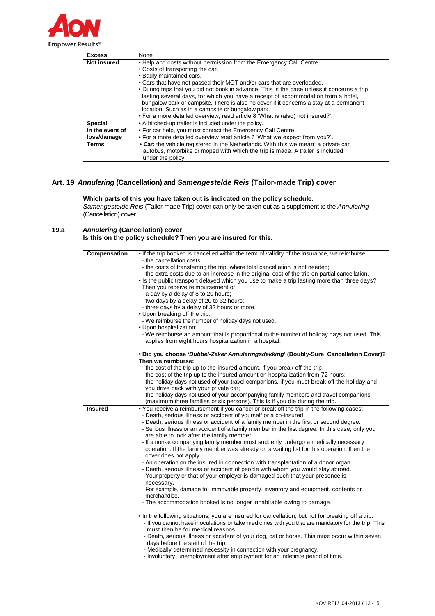

| <b>Excess</b>      | None                                                                                        |
|--------------------|---------------------------------------------------------------------------------------------|
| <b>Not insured</b> | . Help and costs without permission from the Emergency Call Centre.                         |
|                    | • Costs of transporting the car.                                                            |
|                    | • Badly maintained cars.                                                                    |
|                    | • Cars that have not passed their MOT and/or cars that are overloaded.                      |
|                    | • During trips that you did not book in advance. This is the case unless it concerns a trip |
|                    | lasting several days, for which you have a receipt of accommodation from a hotel,           |
|                    | bungalow park or campsite. There is also no cover if it concerns a stay at a permanent      |
|                    | location. Such as in a campsite or bungalow park.                                           |
|                    | . For a more detailed overview, read article 8 'What is (also) not insured?'.               |
| <b>Special</b>     | • A hitched-up trailer is included under the policy.                                        |
| In the event of    | • For car help, you must contact the Emergency Call Centre.                                 |
| loss/damage        | . For a more detailed overview read article 6 'What we expect from you?'.                   |
| <b>Terms</b>       | • Car: the vehicle registered in the Netherlands. With this we mean: a private car,         |
|                    | autobus, motorbike or moped with which the trip is made. A trailer is included              |
|                    | under the policy.                                                                           |

# **Art. 19** *Annulering* **(Cancellation) and** *Samengestelde Reis* **(Tailor-made Trip) cover**

**Which parts of this you have taken out is indicated on the policy schedule.** *Samengestelde Reis* (Tailor-made Trip) cover can only be taken out as a supplement to the *Annulering* (Cancellation) cover.

## **19.a** *Annulering* **(Cancellation) cover Is this on the policy schedule? Then you are insured for this.**

| Compensation   | . If the trip booked is cancelled within the term of validity of the insurance, we reimburse:              |
|----------------|------------------------------------------------------------------------------------------------------------|
|                | - the cancellation costs:                                                                                  |
|                | - the costs of transferring the trip, where total cancellation is not needed;                              |
|                | - the extra costs due to an increase in the original cost of the trip on partial cancellation.             |
|                | • Is the public transport delayed which you use to make a trip lasting more than three days?               |
|                | Then you receive reimbursement of:                                                                         |
|                | - a day by a delay of 8 to 20 hours;                                                                       |
|                | - two days by a delay of 20 to 32 hours;                                                                   |
|                | - three days by a delay of 32 hours or more.                                                               |
|                | • Upon breaking off the trip:                                                                              |
|                | - We reimburse the number of holiday days not used.                                                        |
|                | • Upon hospitalization:                                                                                    |
|                |                                                                                                            |
|                | - We reimburse an amount that is proportional to the number of holiday days not used. This                 |
|                | applies from eight hours hospitalization in a hospital.                                                    |
|                |                                                                                                            |
|                | • Did you choose 'Dubbel-Zeker Annuleringsdekking' (Doubly-Sure Cancellation Cover)?<br>Then we reimburse: |
|                | - the cost of the trip up to the insured amount, if you break off the trip;                                |
|                | - the cost of the trip up to the insured amount on hospitalization from 72 hours;                          |
|                | - the holiday days not used of your travel companions, if you must break off the holiday and               |
|                | you drive back with your private car;                                                                      |
|                |                                                                                                            |
|                | - the holiday days not used of your accompanying family members and travel companions                      |
|                | (maximum three families or six persons). This is if you die during the trip.                               |
| <b>Insured</b> | . You receive a reimbursement if you cancel or break off the trip in the following cases:                  |
|                | - Death, serious illness or accident of yourself or a co-insured.                                          |
|                | - Death, serious illness or accident of a family member in the first or second degree.                     |
|                | - Serious illness or an accident of a family member in the first degree. In this case, only you            |
|                | are able to look after the family member.                                                                  |
|                | - If a non-accompanying family member must suddenly undergo a medically necessary                          |
|                | operation. If the family member was already on a waiting list for this operation, then the                 |
|                | cover does not apply.                                                                                      |
|                | - An operation on the insured in connection with transplantation of a donor organ.                         |
|                | - Death, serious illness or accident of people with whom you would stay abroad.                            |
|                | - Your property or that of your employer is damaged such that your presence is                             |
|                | necessary.                                                                                                 |
|                | For example, damage to: immovable property, inventory and equipment, contents or                           |
|                | merchandise.                                                                                               |
|                | - The accommodation booked is no longer inhabitable owing to damage.                                       |
|                |                                                                                                            |
|                | . In the following situations, you are insured for cancellation, but not for breaking off a trip:          |
|                | - If you cannot have inoculations or take medicines with you that are mandatory for the trip. This         |
|                | must then be for medical reasons.                                                                          |
|                | - Death, serious illness or accident of your dog, cat or horse. This must occur within seven               |
|                | days before the start of the trip.                                                                         |
|                | - Medically determined necessity in connection with your pregnancy.                                        |
|                | - Involuntary unemployment after employment for an indefinite period of time.                              |
|                |                                                                                                            |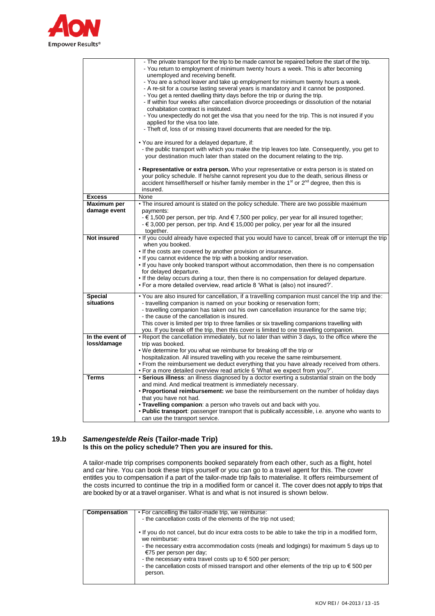

|                             | - The private transport for the trip to be made cannot be repaired before the start of the trip.                                |
|-----------------------------|---------------------------------------------------------------------------------------------------------------------------------|
|                             | - You return to employment of minimum twenty hours a week. This is after becoming                                               |
|                             | unemployed and receiving benefit.                                                                                               |
|                             | - You are a school leaver and take up employment for minimum twenty hours a week.                                               |
|                             | - A re-sit for a course lasting several years is mandatory and it cannot be postponed.                                          |
|                             | - You get a rented dwelling thirty days before the trip or during the trip.                                                     |
|                             | - If within four weeks after cancellation divorce proceedings or dissolution of the notarial                                    |
|                             | cohabitation contract is instituted.                                                                                            |
|                             | - You unexpectedly do not get the visa that you need for the trip. This is not insured if you<br>applied for the visa too late. |
|                             | - Theft of, loss of or missing travel documents that are needed for the trip.                                                   |
|                             |                                                                                                                                 |
|                             | • You are insured for a delayed departure, if:                                                                                  |
|                             | - the public transport with which you make the trip leaves too late. Consequently, you get to                                   |
|                             | your destination much later than stated on the document relating to the trip.                                                   |
|                             |                                                                                                                                 |
|                             | • Representative or extra person. Who your representative or extra person is is stated on                                       |
|                             | your policy schedule. If he/she cannot represent you due to the death, serious illness or                                       |
|                             | accident himself/herself or his/her family member in the 1 <sup>st</sup> or 2 <sup>nd</sup> degree, then this is                |
| <b>Excess</b>               | insured.<br>None                                                                                                                |
|                             |                                                                                                                                 |
| Maximum per<br>damage event | • The insured amount is stated on the policy schedule. There are two possible maximum<br>payments:                              |
|                             | - $\epsilon$ 1,500 per person, per trip. And $\epsilon$ 7,500 per policy, per year for all insured together;                    |
|                             | $-\epsilon$ 3,000 per person, per trip. And $\epsilon$ 15,000 per policy, per year for all the insured                          |
|                             | together.                                                                                                                       |
| <b>Not insured</b>          | . If you could already have expected that you would have to cancel, break off or interrupt the trip                             |
|                             | when you booked.                                                                                                                |
|                             | . If the costs are covered by another provision or insurance.                                                                   |
|                             | . If you cannot evidence the trip with a booking and/or reservation.                                                            |
|                             | . If you have only booked transport without accommodation, then there is no compensation                                        |
|                             | for delayed departure.                                                                                                          |
|                             | . If the delay occurs during a tour, then there is no compensation for delayed departure.                                       |
|                             | . For a more detailed overview, read article 8 'What is (also) not insured?'.                                                   |
| <b>Special</b>              | . You are also insured for cancellation, if a travelling companion must cancel the trip and the:                                |
| situations                  | - travelling companion is named on your booking or reservation form;                                                            |
|                             | - travelling companion has taken out his own cancellation insurance for the same trip;                                          |
|                             | - the cause of the cancellation is insured.                                                                                     |
|                             | This cover is limited per trip to three families or six travelling companions travelling with                                   |
|                             | you. If you break off the trip, then this cover is limited to one travelling companion.                                         |
| In the event of             | . Report the cancellation immediately, but no later than within 3 days, to the office where the                                 |
| loss/damage                 | trip was booked.<br>. We determine for you what we reimburse for breaking off the trip or                                       |
|                             | hospitalization. All insured travelling with you receive the same reimbursement.                                                |
|                             | • From the reimbursement we deduct everything that you have already received from others.                                       |
|                             | . For a more detailed overview read article 6 'What we expect from you?'.                                                       |
| <b>Terms</b>                | . Serious illness: an illness diagnosed by a doctor exerting a substantial strain on the body                                   |
|                             | and mind. And medical treatment is immediately necessary.                                                                       |
|                             | • Proportional reimbursement: we base the reimbursement on the number of holiday days                                           |
|                             | that you have not had.                                                                                                          |
|                             | • Travelling companion: a person who travels out and back with you.                                                             |
|                             | • Public transport: passenger transport that is publically accessible, i.e. anyone who wants to                                 |
|                             | can use the transport service.                                                                                                  |

### **19.b** *Samengestelde Reis* **(Tailor-made Trip) Is this on the policy schedule? Then you are insured for this.**

A tailor-made trip comprises components booked separately from each other, such as a flight, hotel and car hire. You can book these trips yourself or you can go to a travel agent for this. The cover entitles you to compensation if a part of the tailor-made trip fails to materialise. It offers reimbursement of the costs incurred to continue the trip in a modified form or cancel it. The cover does not apply to trips that are booked by or at a travel organiser. What is and what is not insured is shown below.

| Compensation | • For cancelling the tailor-made trip, we reimburse:                                                 |
|--------------|------------------------------------------------------------------------------------------------------|
|              |                                                                                                      |
|              | - the cancellation costs of the elements of the trip not used;                                       |
|              |                                                                                                      |
|              |                                                                                                      |
|              | . If you do not cancel, but do incur extra costs to be able to take the trip in a modified form,     |
|              |                                                                                                      |
|              | we reimburse:                                                                                        |
|              |                                                                                                      |
|              | - the necessary extra accommodation costs (meals and lodgings) for maximum 5 days up to              |
|              |                                                                                                      |
|              | €75 per person per day;                                                                              |
|              |                                                                                                      |
|              | - the necessary extra travel costs up to $\epsilon$ 500 per person;                                  |
|              | - the cancellation costs of missed transport and other elements of the trip up to $\epsilon$ 500 per |
|              |                                                                                                      |
|              | person.                                                                                              |
|              |                                                                                                      |
|              |                                                                                                      |
|              |                                                                                                      |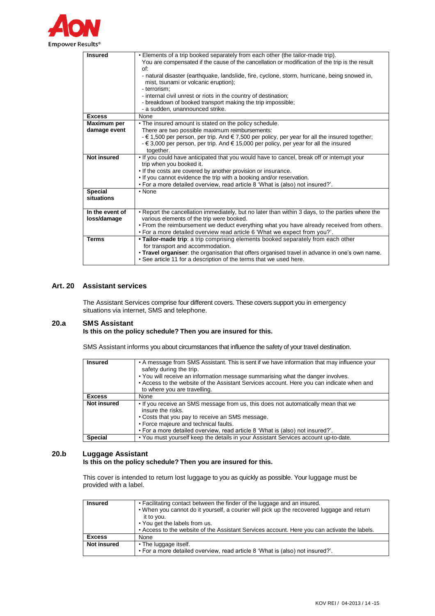

| . Elements of a trip booked separately from each other (the tailor-made trip).                                   |
|------------------------------------------------------------------------------------------------------------------|
| You are compensated if the cause of the cancellation or modification of the trip is the result                   |
| of:                                                                                                              |
| - natural disaster (earthquake, landslide, fire, cyclone, storm, hurricane, being snowed in,                     |
| mist, tsunami or volcanic eruption);                                                                             |
| - terrorism:                                                                                                     |
| - internal civil unrest or riots in the country of destination;                                                  |
| - breakdown of booked transport making the trip impossible;                                                      |
| - a sudden, unannounced strike.                                                                                  |
| None                                                                                                             |
| . The insured amount is stated on the policy schedule.                                                           |
| There are two possible maximum reimbursements:                                                                   |
| - $\epsilon$ 1,500 per person, per trip. And $\epsilon$ 7,500 per policy, per year for all the insured together; |
| - € 3,000 per person, per trip. And € 15,000 per policy, per year for all the insured                            |
| together.                                                                                                        |
| . If you could have anticipated that you would have to cancel, break off or interrupt your                       |
| trip when you booked it.                                                                                         |
| . If the costs are covered by another provision or insurance.                                                    |
| . If you cannot evidence the trip with a booking and/or reservation.                                             |
| . For a more detailed overview, read article 8 'What is (also) not insured?'.                                    |
| • None                                                                                                           |
|                                                                                                                  |
|                                                                                                                  |
| • Report the cancellation immediately, but no later than within 3 days, to the parties where the                 |
| various elements of the trip were booked.                                                                        |
| • From the reimbursement we deduct everything what you have already received from others.                        |
| . For a more detailed overview read article 6 'What we expect from you?'.                                        |
| • Tailor-made trip: a trip comprising elements booked separately from each other                                 |
| for transport and accommodation.                                                                                 |
| . Travel organiser: the organisation that offers organised travel in advance in one's own name.                  |
| • See article 11 for a description of the terms that we used here.                                               |
|                                                                                                                  |

## **Art. 20 Assistant services**

The Assistant Services comprise four different covers. These covers support you in emergency situations via internet, SMS and telephone.

## **20.a SMS Assistant**

## **Is this on the policy schedule? Then you are insured for this.**

SMS Assistant informs you about circumstances that influence the safety of your travel destination.

| <b>Insured</b>     | • A message from SMS Assistant. This is sent if we have information that may influence your<br>safety during the trip.<br>• You will receive an information message summarising what the danger involves.<br>• Access to the website of the Assistant Services account. Here you can indicate when and<br>to where you are travelling. |
|--------------------|----------------------------------------------------------------------------------------------------------------------------------------------------------------------------------------------------------------------------------------------------------------------------------------------------------------------------------------|
| <b>Excess</b>      | None                                                                                                                                                                                                                                                                                                                                   |
| <b>Not insured</b> | . If you receive an SMS message from us, this does not automatically mean that we<br>insure the risks.<br>• Costs that you pay to receive an SMS message.<br>• Force majeure and technical faults.<br>. For a more detailed overview, read article 8 'What is (also) not insured?'.                                                    |
| Special            | . You must yourself keep the details in your Assistant Services account up-to-date.                                                                                                                                                                                                                                                    |

### **20.b Luggage Assistant Is this on the policy schedule? Then you are insured for this.**

This cover is intended to return lost luggage to you as quickly as possible. Your luggage must be provided with a label.

| <b>Insured</b>     | • Facilitating contact between the finder of the luggage and an insured.<br>. When you cannot do it yourself, a courier will pick up the recovered luggage and return<br>it to you.<br>• You get the labels from us. |
|--------------------|----------------------------------------------------------------------------------------------------------------------------------------------------------------------------------------------------------------------|
|                    | • Access to the website of the Assistant Services account. Here you can activate the labels.                                                                                                                         |
| <b>Excess</b>      | None                                                                                                                                                                                                                 |
| <b>Not insured</b> | • The luggage itself.<br>. For a more detailed overview, read article 8 'What is (also) not insured?'.                                                                                                               |